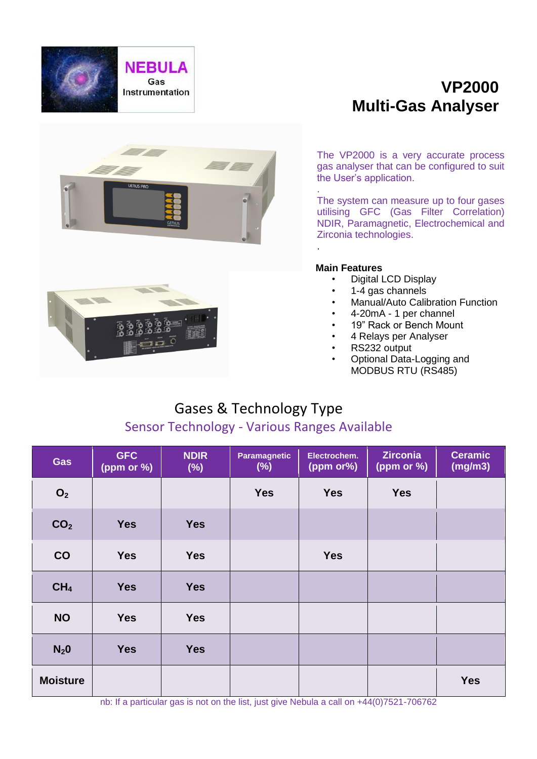

# **VP2000 Multi-Gas Analyser**





The system can measure up to four gases utilising GFC (Gas Filter Correlation) NDIR, Paramagnetic, Electrochemical and Zirconia technologies. .

### **Main Features**

- Digital LCD Display
- 1-4 gas channels
- Manual/Auto Calibration Function
- 4-20mA 1 per channel
- 19" Rack or Bench Mount
- 4 Relays per Analyser
- RS232 output
- Optional Data-Logging and MODBUS RTU (RS485)

# Gases & Technology Type

## Sensor Technology - Various Ranges Available

| Gas                | <b>GFC</b><br>(ppm or %) | <b>NDIR</b><br>$(\%)$ | <b>Paramagnetic</b><br>$(\%)$ | Electrochem.<br>(ppm or%) | <b>Zirconia</b><br>(ppm or %) | <b>Ceramic</b><br>(mg/m3) |
|--------------------|--------------------------|-----------------------|-------------------------------|---------------------------|-------------------------------|---------------------------|
| O <sub>2</sub>     |                          |                       | <b>Yes</b>                    | <b>Yes</b>                | <b>Yes</b>                    |                           |
| CO <sub>2</sub>    | <b>Yes</b>               | <b>Yes</b>            |                               |                           |                               |                           |
| CO                 | <b>Yes</b>               | <b>Yes</b>            |                               | <b>Yes</b>                |                               |                           |
| CH <sub>4</sub>    | <b>Yes</b>               | <b>Yes</b>            |                               |                           |                               |                           |
| <b>NO</b>          | <b>Yes</b>               | <b>Yes</b>            |                               |                           |                               |                           |
| $N_2$ <sup>0</sup> | <b>Yes</b>               | <b>Yes</b>            |                               |                           |                               |                           |
| <b>Moisture</b>    |                          |                       |                               |                           |                               | <b>Yes</b>                |

nb: If a particular gas is not on the list, just give Nebula a call on +44(0)7521-706762